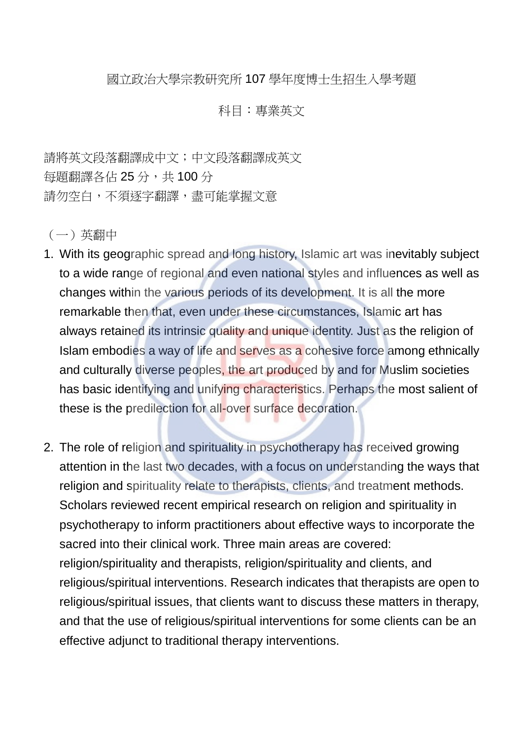國立政治大學宗教研究所 107 學年度博士生招生入學考題

## 科目:專業英文

請將英文段落翻譯成中文;中文段落翻譯成英文 每題翻譯各佔25分,共100分 請勿空白,不須逐字翻譯,盡可能掌握文意

(一)英翻中

- 1. With its geographic spread and long history, Islamic art was inevitably subject to a wide range of regional and even national styles and influences as well as changes within the various periods of its development. It is all the more remarkable then that, even under these circumstances, Islamic art has always retained its intrinsic quality and unique identity. Just as the religion of Islam embodies a way of life and serves as a cohesive force among ethnically and culturally diverse peoples, the art produced by and for Muslim societies has basic identifying and unifying characteristics. Perhaps the most salient of these is the predilection for all-over surface decoration.
- 2. The role of religion and spirituality in psychotherapy has received growing attention in the last two decades, with a focus on understanding the ways that religion and spirituality relate to therapists, clients, and treatment methods. Scholars reviewed recent empirical research on religion and spirituality in psychotherapy to inform practitioners about effective ways to incorporate the sacred into their clinical work. Three main areas are covered: religion/spirituality and therapists, religion/spirituality and clients, and religious/spiritual interventions. Research indicates that therapists are open to religious/spiritual issues, that clients want to discuss these matters in therapy, and that the use of religious/spiritual interventions for some clients can be an effective adjunct to traditional therapy interventions.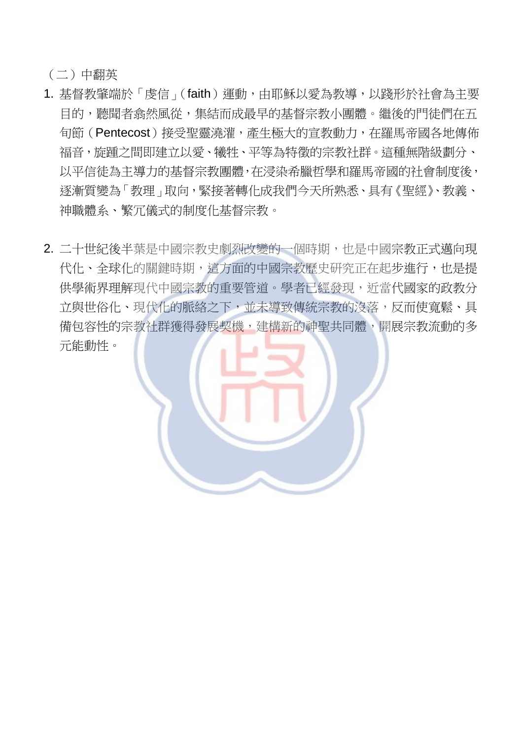(二)中翻英

- 1. 基督教肇端於「虔信」(faith)運動,由耶穌以愛為教導,以踐形於社會為主要 目的,聽聞者翕然風從,集結而成最早的基督宗教小團體。繼後的門徒們在五 旬節(Pentecost)接受聖靈澆灌,產生極大的宣教動力,在羅馬帝國各地傳佈 福音,旋踵之間即建立以愛、犧牲、平等為特徵的宗教社群。這種無階級劃分、 以平信徒為主導力的基督宗教團體,在浸染希臘哲學和羅馬帝國的社會制度後, 逐漸質變為「教理」取向,緊接著轉化成我們今天所熟悉、具有《聖經》、教義、 神職體系、繁冗儀式的制度化基督宗教。
- 2. 二十世紀後半葉是中國宗教史劇烈改變的一個時期,也是中國宗教正式邁向現 代化、全球化的關鍵時期,這方面的中國宗教歷史研究正在起步進行,也是提 供學術界理解現代中國宗教的重要管道。學者已經發現,近當代國家的政教分 立與世俗化、現代化的脈絡之下,並未導致傳統宗教的沒落,反而使寬鬆、具 備包容性的宗教社群獲得發展契機,建構新的神聖共同體,開展宗教流動的多 元能動性。